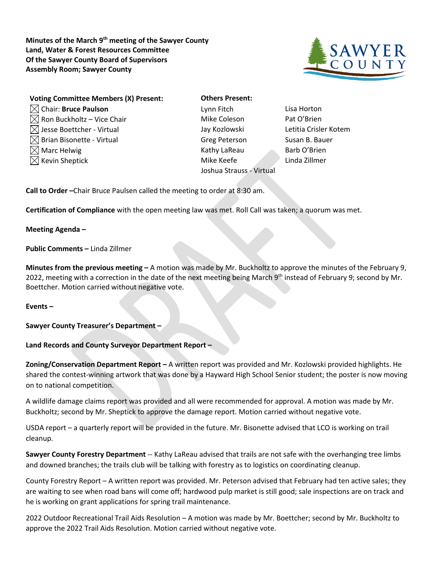**Minutes of the March 9th meeting of the Sawyer County Land, Water & Forest Resources Committee Of the Sawyer County Board of Supervisors Assembly Room; Sawyer County**



| <b>Voting Committee Members (X) Present:</b> | <b>Others Present:</b>   |                 |
|----------------------------------------------|--------------------------|-----------------|
| $\boxtimes$ Chair: Bruce Paulson             | Lynn Fitch               | Lisa Horton     |
| $\boxtimes$ Ron Buckholtz – Vice Chair       | Mike Coleson             | Pat O'Brien     |
| $\boxtimes$ Jesse Boettcher - Virtual        | Jay Kozlowski            | Letitia Crisler |
| $\boxtimes$ Brian Bisonette - Virtual        | <b>Greg Peterson</b>     | Susan B. Bau    |
| $\boxtimes$ Marc Helwig                      | Kathy LaReau             | Barb O'Brien    |
| $\boxtimes$ Kevin Sheptick                   | Mike Keefe               | Linda Zillmer   |
|                                              | Joshua Strauss - Virtual |                 |

**Others Present:** Mike Coleson Pat O'Brien Jay Kozlowski Letitia Crisler Kotem Greg Peterson Susan B. Bauer Kathy LaReau Barb O'Brien Joshua Strauss - Virtual

**Call to Order –**Chair Bruce Paulsen called the meeting to order at 8:30 am.

**Certification of Compliance** with the open meeting law was met. Roll Call was taken; a quorum was met.

**Meeting Agenda –**

## **Public Comments –** Linda Zillmer

**Minutes from the previous meeting –** A motion was made by Mr. Buckholtz to approve the minutes of the February 9, 2022, meeting with a correction in the date of the next meeting being March 9<sup>th</sup> instead of February 9; second by Mr. Boettcher. Motion carried without negative vote.

## **Events –**

**Sawyer County Treasurer's Department –**

## **Land Records and County Surveyor Department Report –**

**Zoning/Conservation Department Report –** A written report was provided and Mr. Kozlowski provided highlights. He shared the contest-winning artwork that was done by a Hayward High School Senior student; the poster is now moving on to national competition.

A wildlife damage claims report was provided and all were recommended for approval. A motion was made by Mr. Buckholtz; second by Mr. Sheptick to approve the damage report. Motion carried without negative vote.

USDA report – a quarterly report will be provided in the future. Mr. Bisonette advised that LCO is working on trail cleanup.

**Sawyer County Forestry Department** -- Kathy LaReau advised that trails are not safe with the overhanging tree limbs and downed branches; the trails club will be talking with forestry as to logistics on coordinating cleanup.

County Forestry Report – A written report was provided. Mr. Peterson advised that February had ten active sales; they are waiting to see when road bans will come off; hardwood pulp market is still good; sale inspections are on track and he is working on grant applications for spring trail maintenance.

2022 Outdoor Recreational Trail Aids Resolution – A motion was made by Mr. Boettcher; second by Mr. Buckholtz to approve the 2022 Trail Aids Resolution. Motion carried without negative vote.